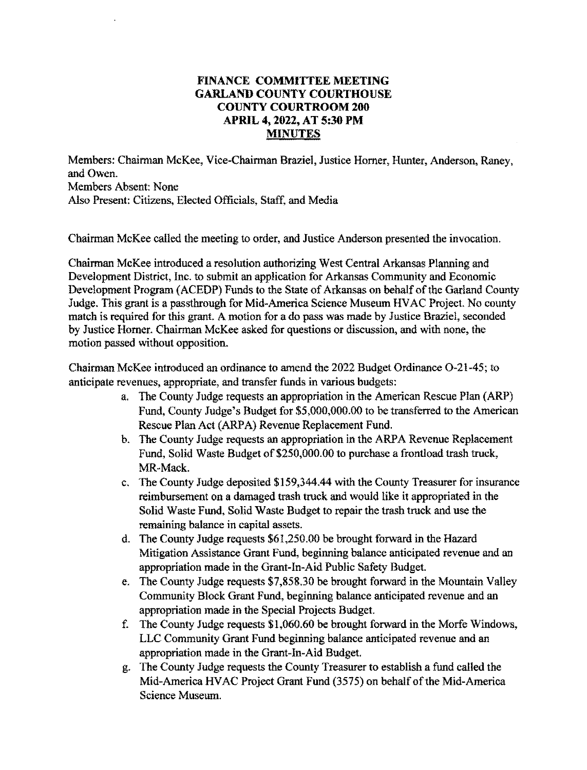## **FINANCE COMMITTEE MEETING GARLAND COUNTY COURTHOUSE COUNTY COURTROOM 200 APRIL 4, 2022, AT 5:30 PM MINUTES**

Members: Chairman McKee, Vice-Chairman Braziel, Justice Horner, Hunter, Anderson, Raney, and Owen. Members Absent: None Also Present: Citizens, Elected Officials, Staff, and Media

Chairman McKee called the meeting to order, and Justice Anderson presented the invocation.

Chairman McKee introduced a resolution authorizing West Central Arkansas Planning and Development District, Inc. to submit an application for Arkansas Community and Economic Development Program (ACEDP) Funds to the State of Arkansas on behalf of the Garland County Judge. This grant is a passthrough for Mid-America Science Museum HVAC Project. No county match is required for this grant. A motion for a do pass was made by Justice Braziel, seconded by Justice Horner. Chairman McKee asked for questions or discussion, and with none, the motion passed without opposition.

Chairman McKee introduced an ordinance to amend the 2022 Budget Ordinance 0-21-45; to anticipate revenues, appropriate, and transfer funds in various budgets:

- a. The County Judge requests an appropriation in the American Rescue Plan (ARP) Fund, County Judge's Budget for \$5,000,000.00 to be transferred to the American Rescue Plan Act (ARPA) Revenue Replacement Fund.
- b. The County Judge requests an appropriation in the ARPA Revenue Replacement Fund, Solid Waste Budget of \$250,000.00 to purchase a frontload trash truck, MR-Mack.
- c. 'The County Judge deposited \$159,344.44 with the County Treasurer for insurance reimbursement on a damaged trash truck and would like it appropriated in the Solid Waste Fund, Solid Waste Budget to repair the trash truek and use the remaining balance in capital assets.
- d. The County Judge requests \$61,250.00 be brought forward in the Hazard Mitigation Assistance Grant Fund, beginning balance anticipated revenue and an appropriation made in the Grant-In-Aid Public Safety Budget.
- e. The County Judge requests \$7,858.30 be brought forward in the Mountain Valley Community Block Grant Fund, beginning balance anticipated revenue and an appropriation made in the Special Projects Budget.
- f. The County Judge requests \$1,060.60 be brought forward in the Morfe Windows, LLC Community Grant Fund beginning balance anticipated revenue and an appropriation made in the Grant-In-Aid Budget.
- g. The County Judge requests the County Treasurer to establish a fund called the Mid-America HV AC Project Grant Fund (3575) on behalf of the Mid-America Science Museum.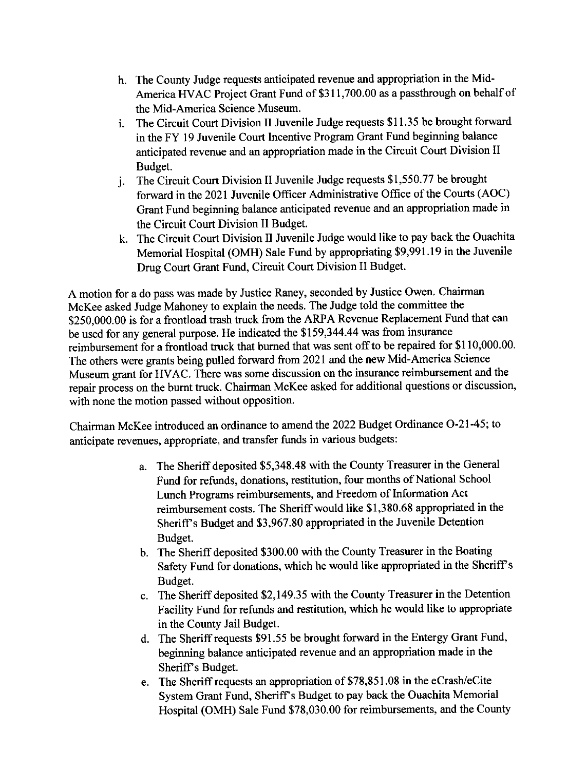- h. The County Judge requests anticipated revenue and appropriation in the Mid-America HVAC Project Grant Fund of \$311,700.00 as a passthrough on behalf of the Mid-America Science Museum.
- 1. The Circuit Court Division II Juvenile Judge requests \$11.35 be brought forward in the FY 19 Juvenile Court Incentive Program Grant Fund beginning balance anticipated revenue and an appropriation made in the Circuit Court Division II Budget.
- j. The Circuit Court Division II Juvenile Judge requests \$1,550.77 be brought forward in the 2021 Juvenile Officer Administrative Office of the Courts (AOC) Grant Fund beginning balance anticipated revenue and an appropriation made in the Circuit Court Division II Budget.
- k. The Circuit Court Division II Juvenile Judge would like to pay back the Ouachita Memorial Hospital (OMH) Sale Fund by appropriating \$9,991.19 in the Juvenile Drug Court Grant Fund, Circuit Court Division II Budget.

A motion for a do pass was made by Justice Raney, seconded by Justice Owen. Chairman McKee asked Judge Mahoney to explain the needs. The Judge told the committee the \$250,000.00 is for a frontload trash truck from the ARPA Revenue Replacement Fund that can be used for any general purpose. He indicated the \$159,344.44 was from insurance reimbursement for a frontload truck that burned that was sent off to be repaired for \$110,000.00. The others were grants being pulled forward from 2021 and the new Mid-America Science Museum grant for HV AC. There was some discussion on the insurance reimbursement and the repair process on the burnt truck. Chairman McKee asked for additional questions or discussion, with none the motion passed without opposition.

Chairman McKee introduced an ordinance to amend the 2022 Budget Ordinance 0-21-45; to anticipate revenues, appropriate, and transfer funds in various budgets:

- a. The Sheriff deposited \$5,348.48 with the County Treasurer in the General Fund for refunds, donations, restitution, four months of National School Lunch Programs reimbursements, and Freedom of Information Act reimbursement costs. The Sheriff would like \$1,380.68 appropriated in the Sheriff's Budget and \$3,967.80 appropriated in the Juvenile Detention Budget.
- b. The Sheriff deposited \$300.00 with the County Treasurer in the Boating Safety Fund for donations, which he would like appropriated in the Sheriff's Budget.
- c. The Sheriff deposited \$2,149.35 with the County Treasurer in the Detention Facility Fund for refunds and restitution, which he would like to appropriate in the County Jail Budget.
- d. The Sheriff requests \$91.55 be brought forward in the Entergy Grant Fund, beginning balance anticipated revenue and an appropriation made in the Sheriff's Budget.
- e. The Sheriff requests an appropriation of \$78,851.08 in the eCrash/eCite System Grant Fund, Sheriff's Budget to pay back the Ouachita Memorial Hospital (OMH) Sale Fund \$78,030.00 for reimbursements, and the County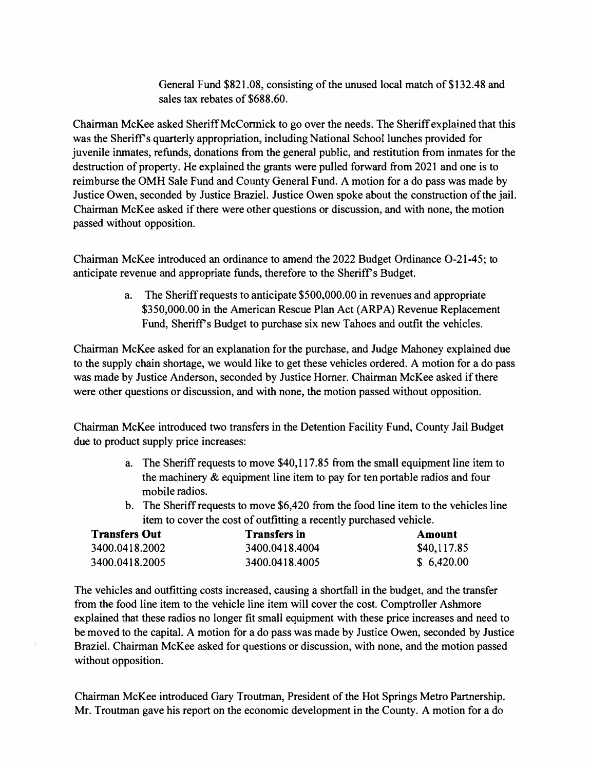General Fund \$821.08, consisting of the unused local match of \$132.48 and sales tax rebates of \$688.60.

Chairman McKee asked Sheriff McCormick to go over the needs. The Sheriff explained that this was the Sheriff's quarterly appropriation, including National School lunches provided for juvenile inmates, refunds, donations from the general public, and restitution from inmates for the destruction of property. He explained the grants were pulled forward from 2021 and one is to reimburse the OMH Sale Fund and County General Fund. A motion for a do pass was made by Justice Owen, seconded by Justice Braziel. Justice Owen spoke about the construction of the jail. Chairman McKee asked if there were other questions or discussion, and with none, the motion passed without opposition.

Chairman McKee introduced an ordinance to amend the 2022 Budget Ordinance 0-21-45; to anticipate revenue and appropriate funds, therefore to the Sheriff's Budget.

> a. The Sheriff requests to anticipate \$500,000.00 in revenues and appropriate \$350,000.00 in the American Rescue Plan Act (ARPA) Revenue Replacement Fund, Sheriff's Budget to purchase six new Tahoes and outfit the vehicles.

Chairman McKee asked for an explanation for the purchase, and Judge Mahoney explained due to the supply chain shortage, we would like to get these vehicles ordered. A motion for a do pass was made by Justice Anderson, seconded by Justice Horner. Chairman McKee asked if there were other questions or discussion, and with none, the motion passed without opposition.

Chairman McKee introduced two transfers in the Detention Facility Fund, County Jail Budget due to product supply price increases:

- a. The Sheriff requests to move \$40,117.85 from the small equipment line item to the machinery & equipment line item to pay for ten portable radios and four mobile radios.
- b. The Sheriff requests to move \$6,420 from the food line item to the vehicles line item to cover the cost of outfitting a recently purchased vehicle.

| <b>Transfers Out</b> | <b>Transfers in</b> | Amount      |
|----------------------|---------------------|-------------|
| 3400.0418.2002       | 3400.0418.4004      | \$40,117.85 |
| 3400.0418.2005       | 3400.0418.4005      | \$6,420.00  |

The vehicles and outfitting costs increased, causing a shortfall in the budget, and the transfer from the food line item to the vehicle line item will cover the cost. Comptroller Ashmore explained that these radios no longer fit small equipment with these price increases and need to be moved to the capital. A motion for a do pass was made by Justice Owen, seconded by Justice Braziel. Chairman McKee asked for questions or discussion, with none, and the motion passed without opposition.

Chairman McKee introduced Gary Troutman, President of the Hot Springs Metro Partnership. Mr. Troutman gave his report on the economic development in the County. A motion for a do